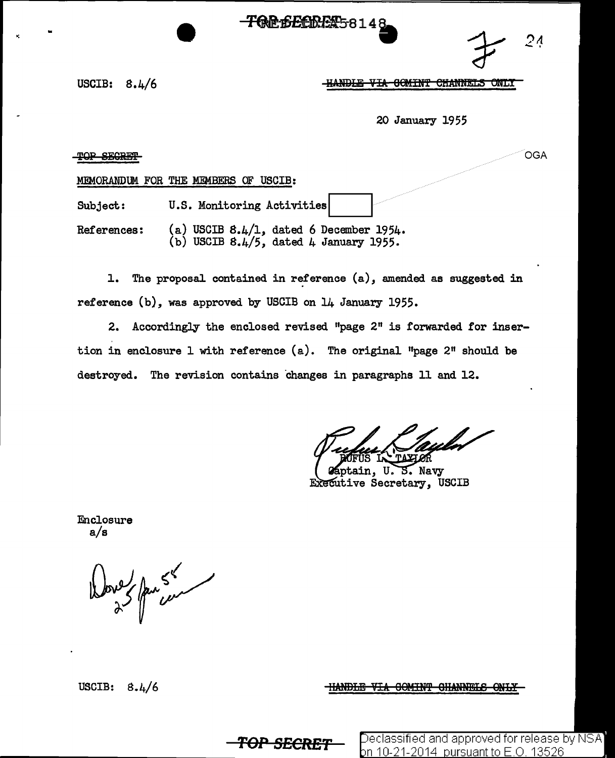**TOE 6ECRET**58148

?A  $24.$ 

USCIB: 8.4/6

<del>-HANDLE VIA COMINT CHANNELS</del> ONLY

20 January 1955

TOP SECRET

**OGA** 

MEMORANDUM FOR THE MEMBERS OF USCIB:

Subject: U.S. Monitoring Activities

References:  $(a)$  USCIB 8.4/1, dated 6 December 1954. (b) USCIB  $8.4/5$ , dated 4 January 1955.

1. The proposal contained in reference (a), amended as suggested in reference (b), was approved by USCIB on 14 January 1955.

2. Accordingly the enclosed revised "page 2" is forwarded for insertion in enclosure 1 with reference  $(a)$ . The original "page 2" should be destroyed. The revision contains changes in paragraphs 11 and 12.

ges in paragraphs 11 and 12.<br>Western Communication

Enclosure a/s

 $\frac{1}{\sqrt{2}}$ 

USCIB:  $8.4/6$ 

HANDLE VIA GOMINT GHANNELS ONLY

**TOP SECRET** Peclassified and approved for release by NSA <u>bn 10-21-2014\_pursuant to E.O. 13526</u>